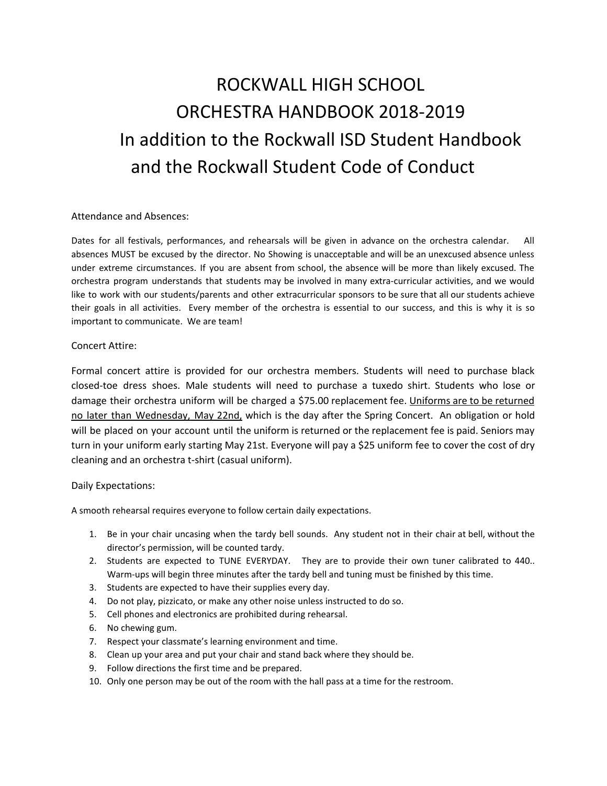## ROCKWALL HIGH SCHOOL ORCHESTRA HANDBOOK 2018-2019 In addition to the Rockwall ISD Student Handbook and the Rockwall Student Code of Conduct

## Attendance and Absences:

Dates for all festivals, performances, and rehearsals will be given in advance on the orchestra calendar. All absences MUST be excused by the director. No Showing is unacceptable and will be an unexcused absence unless under extreme circumstances. If you are absent from school, the absence will be more than likely excused. The orchestra program understands that students may be involved in many extra-curricular activities, and we would like to work with our students/parents and other extracurricular sponsors to be sure that all our students achieve their goals in all activities. Every member of the orchestra is essential to our success, and this is why it is so important to communicate. We are team!

## Concert Attire:

Formal concert attire is provided for our orchestra members. Students will need to purchase black closed-toe dress shoes. Male students will need to purchase a tuxedo shirt. Students who lose or damage their orchestra uniform will be charged a \$75.00 replacement fee. Uniforms are to be returned no later than Wednesday, May 22nd, which is the day after the Spring Concert. An obligation or hold will be placed on your account until the uniform is returned or the replacement fee is paid. Seniors may turn in your uniform early starting May 21st. Everyone will pay a \$25 uniform fee to cover the cost of dry cleaning and an orchestra t-shirt (casual uniform).

## Daily Expectations:

A smooth rehearsal requires everyone to follow certain daily expectations.

- 1. Be in your chair uncasing when the tardy bell sounds. Any student not in their chair at bell, without the director's permission, will be counted tardy.
- 2. Students are expected to TUNE EVERYDAY. They are to provide their own tuner calibrated to 440.. Warm-ups will begin three minutes after the tardy bell and tuning must be finished by this time.
- 3. Students are expected to have their supplies every day.
- 4. Do not play, pizzicato, or make any other noise unless instructed to do so.
- 5. Cell phones and electronics are prohibited during rehearsal.
- 6. No chewing gum.
- 7. Respect your classmate's learning environment and time.
- 8. Clean up your area and put your chair and stand back where they should be.
- 9. Follow directions the first time and be prepared.
- 10. Only one person may be out of the room with the hall pass at a time for the restroom.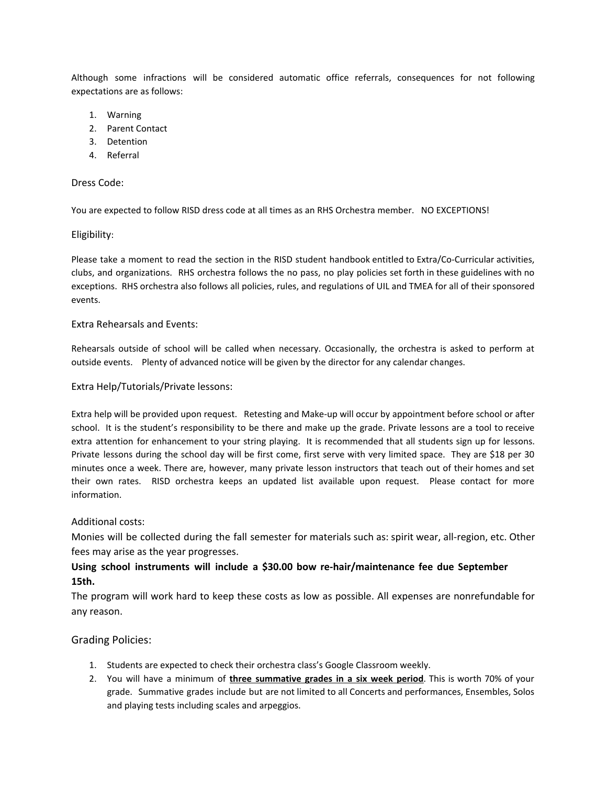Although some infractions will be considered automatic office referrals, consequences for not following expectations are as follows:

- 1. Warning
- 2. Parent Contact
- 3. Detention
- 4. Referral

## Dress Code:

You are expected to follow RISD dress code at all times as an RHS Orchestra member. NO EXCEPTIONS!

## Eligibility:

Please take a moment to read the section in the RISD student handbook entitled to Extra/Co-Curricular activities, clubs, and organizations. RHS orchestra follows the no pass, no play policies set forth in these guidelines with no exceptions. RHS orchestra also follows all policies, rules, and regulations of UIL and TMEA for all of their sponsored events.

## Extra Rehearsals and Events:

Rehearsals outside of school will be called when necessary. Occasionally, the orchestra is asked to perform at outside events. Plenty of advanced notice will be given by the director for any calendar changes.

## Extra Help/Tutorials/Private lessons:

Extra help will be provided upon request. Retesting and Make-up will occur by appointment before school or after school. It is the student's responsibility to be there and make up the grade. Private lessons are a tool to receive extra attention for enhancement to your string playing. It is recommended that all students sign up for lessons. Private lessons during the school day will be first come, first serve with very limited space. They are \$18 per 30 minutes once a week. There are, however, many private lesson instructors that teach out of their homes and set their own rates. RISD orchestra keeps an updated list available upon request. Please contact for more information.

## Additional costs:

Monies will be collected during the fall semester for materials such as: spirit wear, all-region, etc. Other fees may arise as the year progresses.

## **Using school instruments will include a \$30.00 bow re-hair/maintenance fee due September 15th.**

The program will work hard to keep these costs as low as possible. All expenses are nonrefundable for any reason.

## Grading Policies:

- 1. Students are expected to check their orchestra class's Google Classroom weekly.
- 2. You will have a minimum of **three summative grades in a six week period**. This is worth 70% of your grade. Summative grades include but are not limited to all Concerts and performances, Ensembles, Solos and playing tests including scales and arpeggios.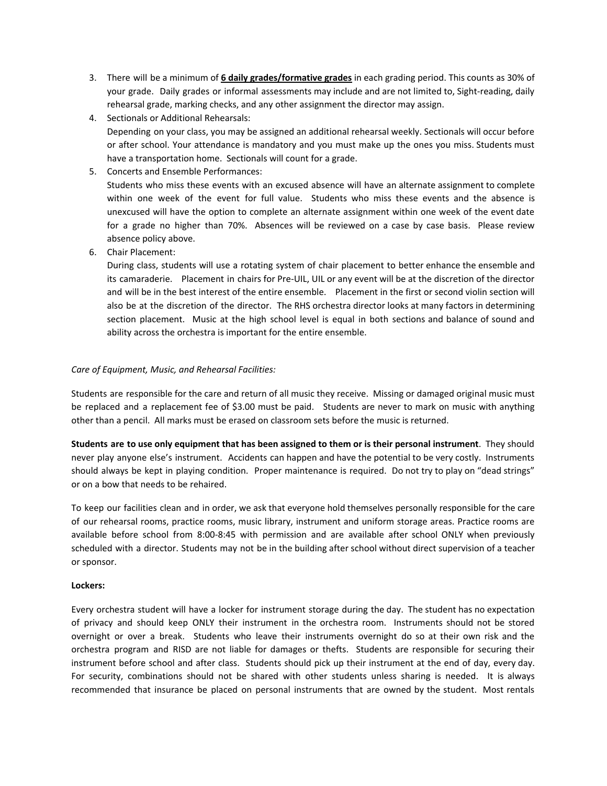- 3. There will be a minimum of **6 daily grades/formative grades** in each grading period. This counts as 30% of your grade. Daily grades or informal assessments may include and are not limited to, Sight-reading, daily rehearsal grade, marking checks, and any other assignment the director may assign.
- 4. Sectionals or Additional Rehearsals: Depending on your class, you may be assigned an additional rehearsal weekly. Sectionals will occur before or after school. Your attendance is mandatory and you must make up the ones you miss. Students must have a transportation home. Sectionals will count for a grade.
- 5. Concerts and Ensemble Performances: Students who miss these events with an excused absence will have an alternate assignment to complete within one week of the event for full value. Students who miss these events and the absence is unexcused will have the option to complete an alternate assignment within one week of the event date for a grade no higher than 70%. Absences will be reviewed on a case by case basis. Please review absence policy above.
- 6. Chair Placement:

During class, students will use a rotating system of chair placement to better enhance the ensemble and its camaraderie. Placement in chairs for Pre-UIL, UIL or any event will be at the discretion of the director and will be in the best interest of the entire ensemble. Placement in the first or second violin section will also be at the discretion of the director. The RHS orchestra director looks at many factors in determining section placement. Music at the high school level is equal in both sections and balance of sound and ability across the orchestra is important for the entire ensemble.

## *Care of Equipment, Music, and Rehearsal Facilities:*

Students are responsible for the care and return of all music they receive. Missing or damaged original music must be replaced and a replacement fee of \$3.00 must be paid. Students are never to mark on music with anything other than a pencil. All marks must be erased on classroom sets before the music is returned.

Students are to use only equipment that has been assigned to them or is their personal instrument. They should never play anyone else's instrument. Accidents can happen and have the potential to be very costly. Instruments should always be kept in playing condition. Proper maintenance is required. Do not try to play on "dead strings" or on a bow that needs to be rehaired.

To keep our facilities clean and in order, we ask that everyone hold themselves personally responsible for the care of our rehearsal rooms, practice rooms, music library, instrument and uniform storage areas. Practice rooms are available before school from 8:00-8:45 with permission and are available after school ONLY when previously scheduled with a director. Students may not be in the building after school without direct supervision of a teacher or sponsor.

## **Lockers:**

Every orchestra student will have a locker for instrument storage during the day. The student has no expectation of privacy and should keep ONLY their instrument in the orchestra room. Instruments should not be stored overnight or over a break. Students who leave their instruments overnight do so at their own risk and the orchestra program and RISD are not liable for damages or thefts. Students are responsible for securing their instrument before school and after class. Students should pick up their instrument at the end of day, every day. For security, combinations should not be shared with other students unless sharing is needed. It is always recommended that insurance be placed on personal instruments that are owned by the student. Most rentals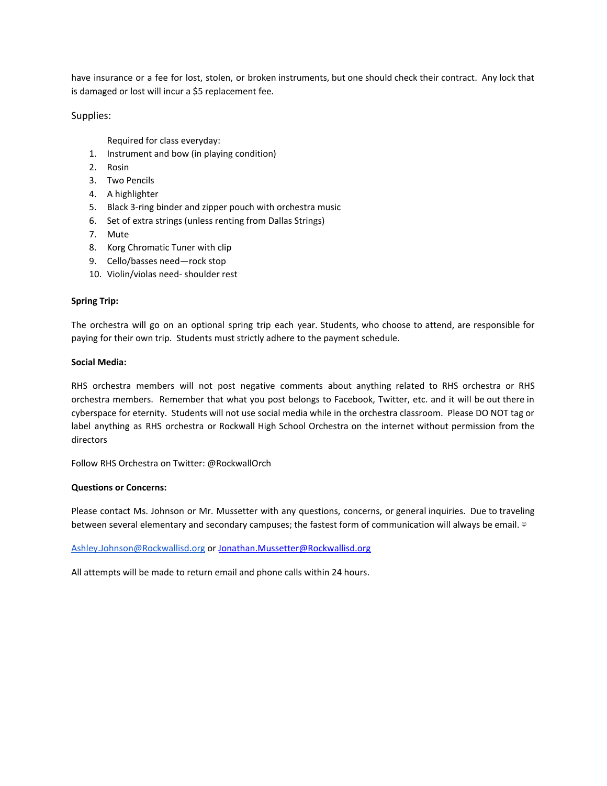have insurance or a fee for lost, stolen, or broken instruments, but one should check their contract. Any lock that is damaged or lost will incur a \$5 replacement fee.

Supplies:

Required for class everyday:

- 1. Instrument and bow (in playing condition)
- 2. Rosin
- 3. Two Pencils
- 4. A highlighter
- 5. Black 3-ring binder and zipper pouch with orchestra music
- 6. Set of extra strings (unless renting from Dallas Strings)
- 7. Mute
- 8. Korg Chromatic Tuner with clip
- 9. Cello/basses need—rock stop
- 10. Violin/violas need- shoulder rest

## **Spring Trip:**

The orchestra will go on an optional spring trip each year. Students, who choose to attend, are responsible for paying for their own trip. Students must strictly adhere to the payment schedule.

### **Social Media:**

RHS orchestra members will not post negative comments about anything related to RHS orchestra or RHS orchestra members. Remember that what you post belongs to Facebook, Twitter, etc. and it will be out there in cyberspace for eternity. Students will not use social media while in the orchestra classroom. Please DO NOT tag or label anything as RHS orchestra or Rockwall High School Orchestra on the internet without permission from the directors

Follow RHS Orchestra on Twitter: @RockwallOrch

#### **Questions or Concerns:**

Please contact Ms. Johnson or Mr. Mussetter with any questions, concerns, or general inquiries. Due to traveling between several elementary and secondary campuses; the fastest form of communication will always be email. ©

[Ashley.Johnson@Rockwallisd.org](mailto:Ashley.Johnson@Rockwallisd.org) or [Jonathan.Mussetter@Rockwallisd.org](mailto:jonathan.mussetter@rockwallisd.org)

All attempts will be made to return email and phone calls within 24 hours.